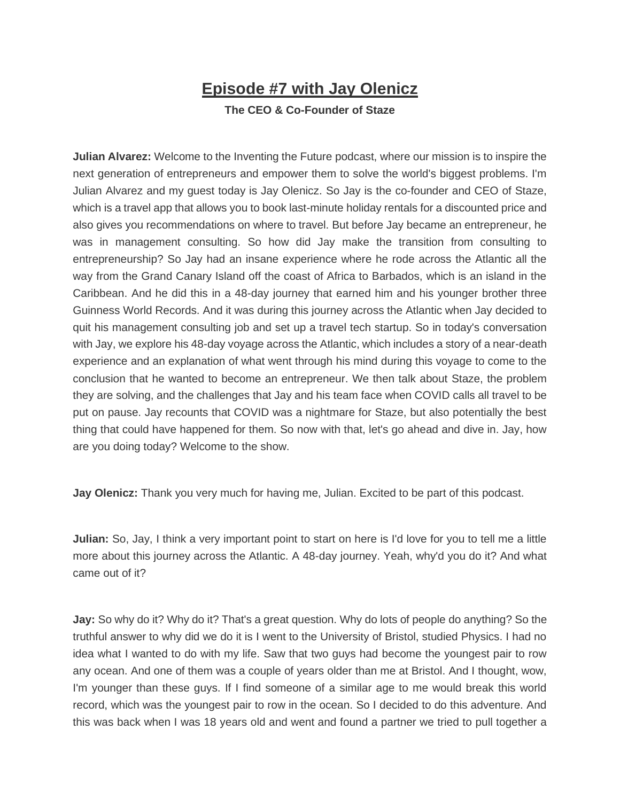## **Episode #7 with Jay Olenicz**

## **The CEO & Co-Founder of Staze**

**Julian Alvarez:** Welcome to the Inventing the Future podcast, where our mission is to inspire the next generation of entrepreneurs and empower them to solve the world's biggest problems. I'm Julian Alvarez and my guest today is Jay Olenicz. So Jay is the co-founder and CEO of Staze, which is a travel app that allows you to book last-minute holiday rentals for a discounted price and also gives you recommendations on where to travel. But before Jay became an entrepreneur, he was in management consulting. So how did Jay make the transition from consulting to entrepreneurship? So Jay had an insane experience where he rode across the Atlantic all the way from the Grand Canary Island off the coast of Africa to Barbados, which is an island in the Caribbean. And he did this in a 48-day journey that earned him and his younger brother three Guinness World Records. And it was during this journey across the Atlantic when Jay decided to quit his management consulting job and set up a travel tech startup. So in today's conversation with Jay, we explore his 48-day voyage across the Atlantic, which includes a story of a near-death experience and an explanation of what went through his mind during this voyage to come to the conclusion that he wanted to become an entrepreneur. We then talk about Staze, the problem they are solving, and the challenges that Jay and his team face when COVID calls all travel to be put on pause. Jay recounts that COVID was a nightmare for Staze, but also potentially the best thing that could have happened for them. So now with that, let's go ahead and dive in. Jay, how are you doing today? Welcome to the show.

**Jay Olenicz:** Thank you very much for having me, Julian. Excited to be part of this podcast.

**Julian:** So, Jay, I think a very important point to start on here is I'd love for you to tell me a little more about this journey across the Atlantic. A 48-day journey. Yeah, why'd you do it? And what came out of it?

**Jay:** So why do it? Why do it? That's a great question. Why do lots of people do anything? So the truthful answer to why did we do it is I went to the University of Bristol, studied Physics. I had no idea what I wanted to do with my life. Saw that two guys had become the youngest pair to row any ocean. And one of them was a couple of years older than me at Bristol. And I thought, wow, I'm younger than these guys. If I find someone of a similar age to me would break this world record, which was the youngest pair to row in the ocean. So I decided to do this adventure. And this was back when I was 18 years old and went and found a partner we tried to pull together a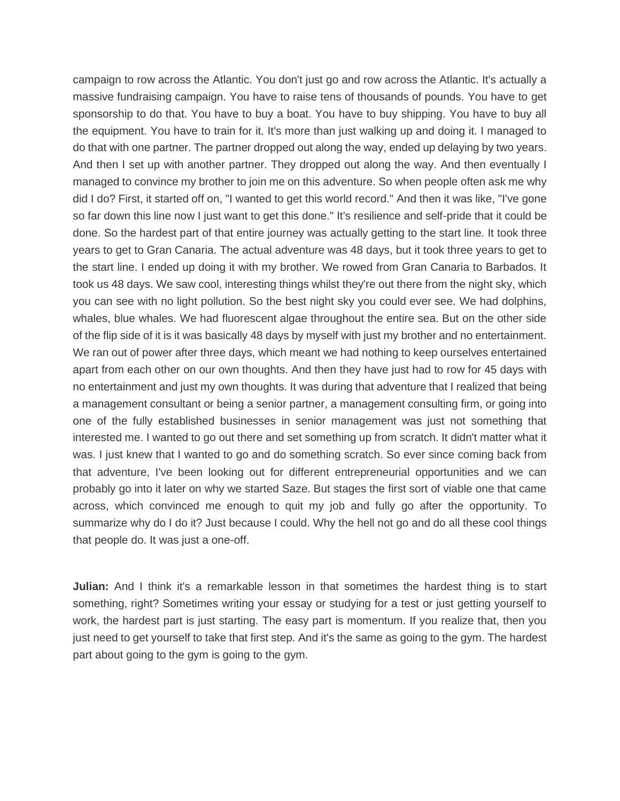campaign to row across the Atlantic. You don't just go and row across the Atlantic. It's actually a massive fundraising campaign. You have to raise tens of thousands of pounds. You have to get sponsorship to do that. You have to buy a boat. You have to buy shipping. You have to buy all the equipment. You have to train for it. It's more than just walking up and doing it. I managed to do that with one partner. The partner dropped out along the way, ended up delaying by two years. And then I set up with another partner. They dropped out along the way. And then eventually I managed to convince my brother to join me on this adventure. So when people often ask me why did I do? First, it started off on, "I wanted to get this world record." And then it was like, "I've gone so far down this line now I just want to get this done." It's resilience and self-pride that it could be done. So the hardest part of that entire journey was actually getting to the start line. It took three years to get to Gran Canaria. The actual adventure was 48 days, but it took three years to get to the start line. I ended up doing it with my brother. We rowed from Gran Canaria to Barbados. It took us 48 days. We saw cool, interesting things whilst they're out there from the night sky, which you can see with no light pollution. So the best night sky you could ever see. We had dolphins, whales, blue whales. We had fluorescent algae throughout the entire sea. But on the other side of the flip side of it is it was basically 48 days by myself with just my brother and no entertainment. We ran out of power after three days, which meant we had nothing to keep ourselves entertained apart from each other on our own thoughts. And then they have just had to row for 45 days with no entertainment and just my own thoughts. It was during that adventure that I realized that being a management consultant or being a senior partner, a management consulting firm, or going into one of the fully established businesses in senior management was just not something that interested me. I wanted to go out there and set something up from scratch. It didn't matter what it was. I just knew that I wanted to go and do something scratch. So ever since coming back from that adventure, I've been looking out for different entrepreneurial opportunities and we can probably go into it later on why we started Saze. But stages the first sort of viable one that came across, which convinced me enough to quit my job and fully go after the opportunity. To summarize why do I do it? Just because I could. Why the hell not go and do all these cool things that people do. It was just a one-off.

**Julian:** And I think it's a remarkable lesson in that sometimes the hardest thing is to start something, right? Sometimes writing your essay or studying for a test or just getting yourself to work, the hardest part is just starting. The easy part is momentum. If you realize that, then you just need to get yourself to take that first step. And it's the same as going to the gym. The hardest part about going to the gym is going to the gym.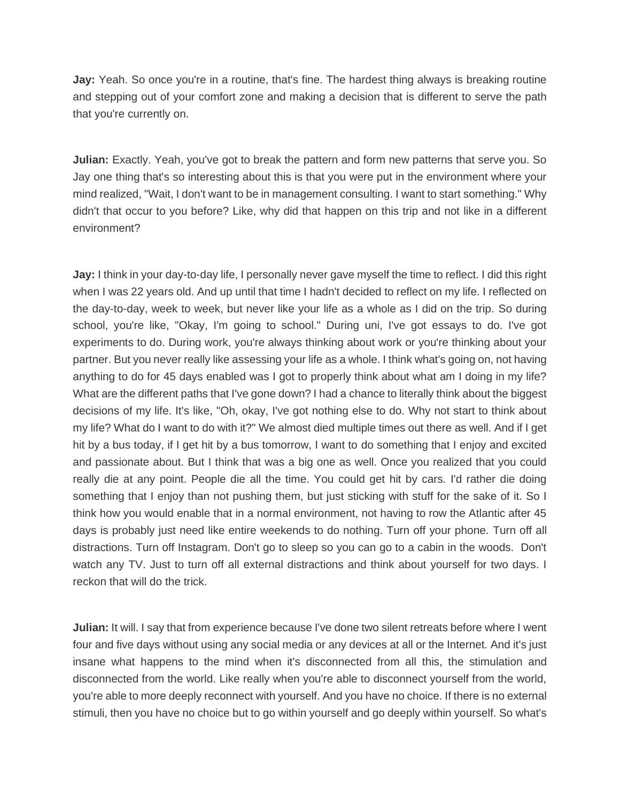**Jay:** Yeah. So once you're in a routine, that's fine. The hardest thing always is breaking routine and stepping out of your comfort zone and making a decision that is different to serve the path that you're currently on.

**Julian:** Exactly. Yeah, you've got to break the pattern and form new patterns that serve you. So Jay one thing that's so interesting about this is that you were put in the environment where your mind realized, "Wait, I don't want to be in management consulting. I want to start something." Why didn't that occur to you before? Like, why did that happen on this trip and not like in a different environment?

**Jay:** I think in your day-to-day life, I personally never gave myself the time to reflect. I did this right when I was 22 years old. And up until that time I hadn't decided to reflect on my life. I reflected on the day-to-day, week to week, but never like your life as a whole as I did on the trip. So during school, you're like, "Okay, I'm going to school." During uni, I've got essays to do. I've got experiments to do. During work, you're always thinking about work or you're thinking about your partner. But you never really like assessing your life as a whole. I think what's going on, not having anything to do for 45 days enabled was I got to properly think about what am I doing in my life? What are the different paths that I've gone down? I had a chance to literally think about the biggest decisions of my life. It's like, "Oh, okay, I've got nothing else to do. Why not start to think about my life? What do I want to do with it?" We almost died multiple times out there as well. And if I get hit by a bus today, if I get hit by a bus tomorrow, I want to do something that I enjoy and excited and passionate about. But I think that was a big one as well. Once you realized that you could really die at any point. People die all the time. You could get hit by cars. I'd rather die doing something that I enjoy than not pushing them, but just sticking with stuff for the sake of it. So I think how you would enable that in a normal environment, not having to row the Atlantic after 45 days is probably just need like entire weekends to do nothing. Turn off your phone. Turn off all distractions. Turn off Instagram. Don't go to sleep so you can go to a cabin in the woods. Don't watch any TV. Just to turn off all external distractions and think about yourself for two days. I reckon that will do the trick.

**Julian:** It will. I say that from experience because I've done two silent retreats before where I went four and five days without using any social media or any devices at all or the Internet. And it's just insane what happens to the mind when it's disconnected from all this, the stimulation and disconnected from the world. Like really when you're able to disconnect yourself from the world, you're able to more deeply reconnect with yourself. And you have no choice. If there is no external stimuli, then you have no choice but to go within yourself and go deeply within yourself. So what's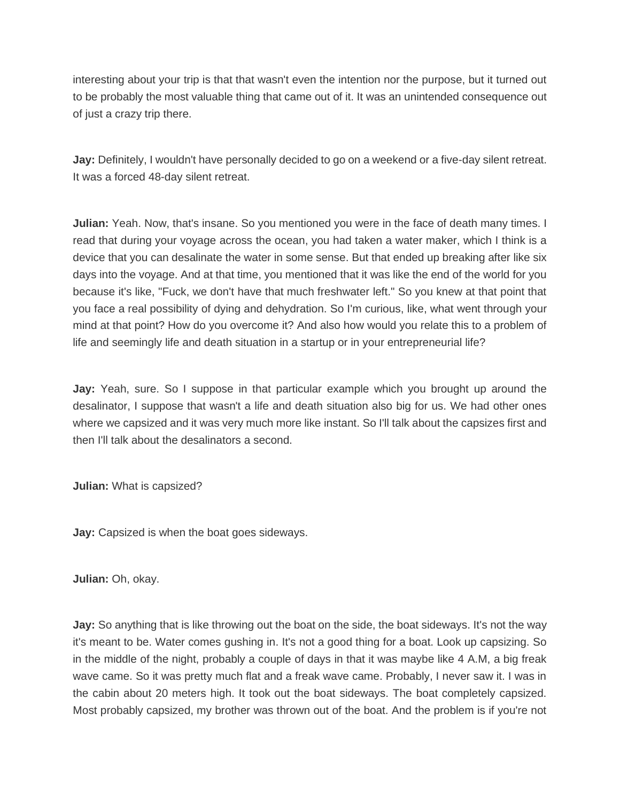interesting about your trip is that that wasn't even the intention nor the purpose, but it turned out to be probably the most valuable thing that came out of it. It was an unintended consequence out of just a crazy trip there.

**Jay:** Definitely, I wouldn't have personally decided to go on a weekend or a five-day silent retreat. It was a forced 48-day silent retreat.

**Julian:** Yeah. Now, that's insane. So you mentioned you were in the face of death many times. I read that during your voyage across the ocean, you had taken a water maker, which I think is a device that you can desalinate the water in some sense. But that ended up breaking after like six days into the voyage. And at that time, you mentioned that it was like the end of the world for you because it's like, "Fuck, we don't have that much freshwater left." So you knew at that point that you face a real possibility of dying and dehydration. So I'm curious, like, what went through your mind at that point? How do you overcome it? And also how would you relate this to a problem of life and seemingly life and death situation in a startup or in your entrepreneurial life?

**Jay:** Yeah, sure. So I suppose in that particular example which you brought up around the desalinator, I suppose that wasn't a life and death situation also big for us. We had other ones where we capsized and it was very much more like instant. So I'll talk about the capsizes first and then I'll talk about the desalinators a second.

**Julian:** What is capsized?

**Jay:** Capsized is when the boat goes sideways.

**Julian:** Oh, okay.

**Jay:** So anything that is like throwing out the boat on the side, the boat sideways. It's not the way it's meant to be. Water comes gushing in. It's not a good thing for a boat. Look up capsizing. So in the middle of the night, probably a couple of days in that it was maybe like 4 A.M, a big freak wave came. So it was pretty much flat and a freak wave came. Probably, I never saw it. I was in the cabin about 20 meters high. It took out the boat sideways. The boat completely capsized. Most probably capsized, my brother was thrown out of the boat. And the problem is if you're not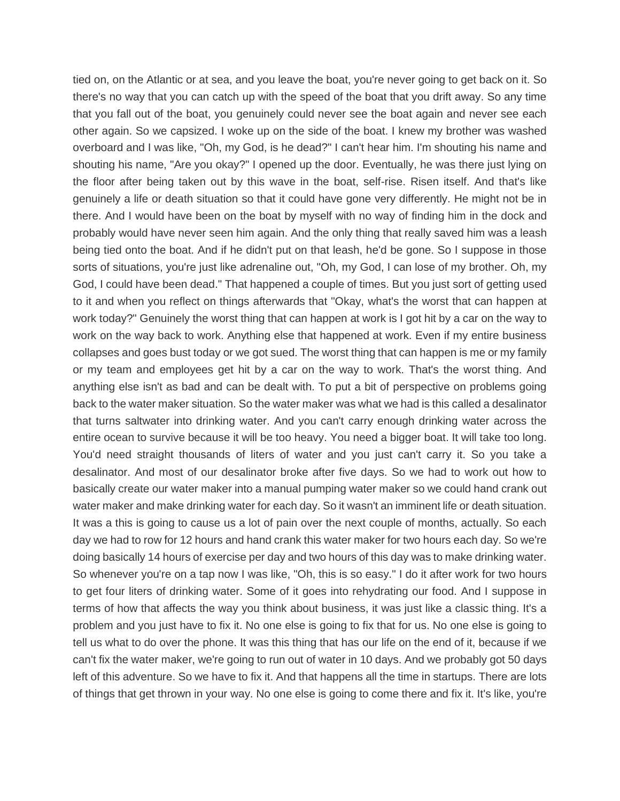tied on, on the Atlantic or at sea, and you leave the boat, you're never going to get back on it. So there's no way that you can catch up with the speed of the boat that you drift away. So any time that you fall out of the boat, you genuinely could never see the boat again and never see each other again. So we capsized. I woke up on the side of the boat. I knew my brother was washed overboard and I was like, "Oh, my God, is he dead?" I can't hear him. I'm shouting his name and shouting his name, "Are you okay?" I opened up the door. Eventually, he was there just lying on the floor after being taken out by this wave in the boat, self-rise. Risen itself. And that's like genuinely a life or death situation so that it could have gone very differently. He might not be in there. And I would have been on the boat by myself with no way of finding him in the dock and probably would have never seen him again. And the only thing that really saved him was a leash being tied onto the boat. And if he didn't put on that leash, he'd be gone. So I suppose in those sorts of situations, you're just like adrenaline out, "Oh, my God, I can lose of my brother. Oh, my God, I could have been dead." That happened a couple of times. But you just sort of getting used to it and when you reflect on things afterwards that "Okay, what's the worst that can happen at work today?" Genuinely the worst thing that can happen at work is I got hit by a car on the way to work on the way back to work. Anything else that happened at work. Even if my entire business collapses and goes bust today or we got sued. The worst thing that can happen is me or my family or my team and employees get hit by a car on the way to work. That's the worst thing. And anything else isn't as bad and can be dealt with. To put a bit of perspective on problems going back to the water maker situation. So the water maker was what we had is this called a desalinator that turns saltwater into drinking water. And you can't carry enough drinking water across the entire ocean to survive because it will be too heavy. You need a bigger boat. It will take too long. You'd need straight thousands of liters of water and you just can't carry it. So you take a desalinator. And most of our desalinator broke after five days. So we had to work out how to basically create our water maker into a manual pumping water maker so we could hand crank out water maker and make drinking water for each day. So it wasn't an imminent life or death situation. It was a this is going to cause us a lot of pain over the next couple of months, actually. So each day we had to row for 12 hours and hand crank this water maker for two hours each day. So we're doing basically 14 hours of exercise per day and two hours of this day was to make drinking water. So whenever you're on a tap now I was like, "Oh, this is so easy." I do it after work for two hours to get four liters of drinking water. Some of it goes into rehydrating our food. And I suppose in terms of how that affects the way you think about business, it was just like a classic thing. It's a problem and you just have to fix it. No one else is going to fix that for us. No one else is going to tell us what to do over the phone. It was this thing that has our life on the end of it, because if we can't fix the water maker, we're going to run out of water in 10 days. And we probably got 50 days left of this adventure. So we have to fix it. And that happens all the time in startups. There are lots of things that get thrown in your way. No one else is going to come there and fix it. It's like, you're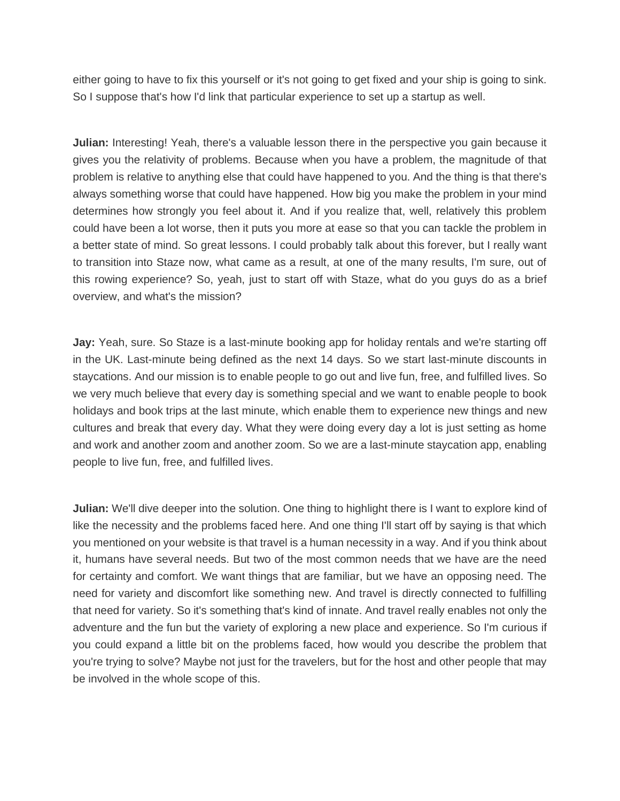either going to have to fix this yourself or it's not going to get fixed and your ship is going to sink. So I suppose that's how I'd link that particular experience to set up a startup as well.

**Julian:** Interesting! Yeah, there's a valuable lesson there in the perspective you gain because it gives you the relativity of problems. Because when you have a problem, the magnitude of that problem is relative to anything else that could have happened to you. And the thing is that there's always something worse that could have happened. How big you make the problem in your mind determines how strongly you feel about it. And if you realize that, well, relatively this problem could have been a lot worse, then it puts you more at ease so that you can tackle the problem in a better state of mind. So great lessons. I could probably talk about this forever, but I really want to transition into Staze now, what came as a result, at one of the many results, I'm sure, out of this rowing experience? So, yeah, just to start off with Staze, what do you guys do as a brief overview, and what's the mission?

**Jay:** Yeah, sure. So Staze is a last-minute booking app for holiday rentals and we're starting off in the UK. Last-minute being defined as the next 14 days. So we start last-minute discounts in staycations. And our mission is to enable people to go out and live fun, free, and fulfilled lives. So we very much believe that every day is something special and we want to enable people to book holidays and book trips at the last minute, which enable them to experience new things and new cultures and break that every day. What they were doing every day a lot is just setting as home and work and another zoom and another zoom. So we are a last-minute staycation app, enabling people to live fun, free, and fulfilled lives.

**Julian:** We'll dive deeper into the solution. One thing to highlight there is I want to explore kind of like the necessity and the problems faced here. And one thing I'll start off by saying is that which you mentioned on your website is that travel is a human necessity in a way. And if you think about it, humans have several needs. But two of the most common needs that we have are the need for certainty and comfort. We want things that are familiar, but we have an opposing need. The need for variety and discomfort like something new. And travel is directly connected to fulfilling that need for variety. So it's something that's kind of innate. And travel really enables not only the adventure and the fun but the variety of exploring a new place and experience. So I'm curious if you could expand a little bit on the problems faced, how would you describe the problem that you're trying to solve? Maybe not just for the travelers, but for the host and other people that may be involved in the whole scope of this.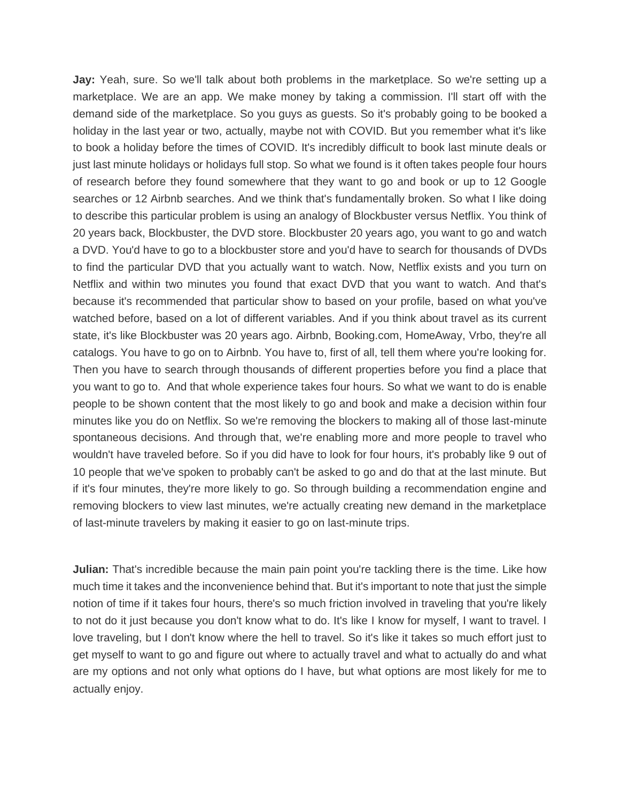**Jay:** Yeah, sure. So we'll talk about both problems in the marketplace. So we're setting up a marketplace. We are an app. We make money by taking a commission. I'll start off with the demand side of the marketplace. So you guys as guests. So it's probably going to be booked a holiday in the last year or two, actually, maybe not with COVID. But you remember what it's like to book a holiday before the times of COVID. It's incredibly difficult to book last minute deals or just last minute holidays or holidays full stop. So what we found is it often takes people four hours of research before they found somewhere that they want to go and book or up to 12 Google searches or 12 Airbnb searches. And we think that's fundamentally broken. So what I like doing to describe this particular problem is using an analogy of Blockbuster versus Netflix. You think of 20 years back, Blockbuster, the DVD store. Blockbuster 20 years ago, you want to go and watch a DVD. You'd have to go to a blockbuster store and you'd have to search for thousands of DVDs to find the particular DVD that you actually want to watch. Now, Netflix exists and you turn on Netflix and within two minutes you found that exact DVD that you want to watch. And that's because it's recommended that particular show to based on your profile, based on what you've watched before, based on a lot of different variables. And if you think about travel as its current state, it's like Blockbuster was 20 years ago. Airbnb, Booking.com, HomeAway, Vrbo, they're all catalogs. You have to go on to Airbnb. You have to, first of all, tell them where you're looking for. Then you have to search through thousands of different properties before you find a place that you want to go to. And that whole experience takes four hours. So what we want to do is enable people to be shown content that the most likely to go and book and make a decision within four minutes like you do on Netflix. So we're removing the blockers to making all of those last-minute spontaneous decisions. And through that, we're enabling more and more people to travel who wouldn't have traveled before. So if you did have to look for four hours, it's probably like 9 out of 10 people that we've spoken to probably can't be asked to go and do that at the last minute. But if it's four minutes, they're more likely to go. So through building a recommendation engine and removing blockers to view last minutes, we're actually creating new demand in the marketplace of last-minute travelers by making it easier to go on last-minute trips.

**Julian:** That's incredible because the main pain point you're tackling there is the time. Like how much time it takes and the inconvenience behind that. But it's important to note that just the simple notion of time if it takes four hours, there's so much friction involved in traveling that you're likely to not do it just because you don't know what to do. It's like I know for myself, I want to travel. I love traveling, but I don't know where the hell to travel. So it's like it takes so much effort just to get myself to want to go and figure out where to actually travel and what to actually do and what are my options and not only what options do I have, but what options are most likely for me to actually enjoy.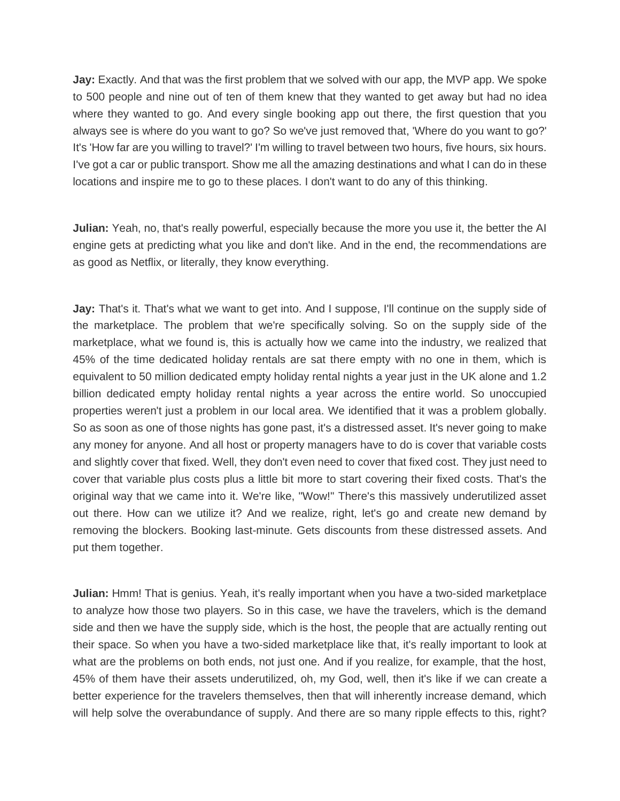**Jay:** Exactly. And that was the first problem that we solved with our app, the MVP app. We spoke to 500 people and nine out of ten of them knew that they wanted to get away but had no idea where they wanted to go. And every single booking app out there, the first question that you always see is where do you want to go? So we've just removed that, 'Where do you want to go?' It's 'How far are you willing to travel?' I'm willing to travel between two hours, five hours, six hours. I've got a car or public transport. Show me all the amazing destinations and what I can do in these locations and inspire me to go to these places. I don't want to do any of this thinking.

**Julian:** Yeah, no, that's really powerful, especially because the more you use it, the better the AI engine gets at predicting what you like and don't like. And in the end, the recommendations are as good as Netflix, or literally, they know everything.

**Jay:** That's it. That's what we want to get into. And I suppose, I'll continue on the supply side of the marketplace. The problem that we're specifically solving. So on the supply side of the marketplace, what we found is, this is actually how we came into the industry, we realized that 45% of the time dedicated holiday rentals are sat there empty with no one in them, which is equivalent to 50 million dedicated empty holiday rental nights a year just in the UK alone and 1.2 billion dedicated empty holiday rental nights a year across the entire world. So unoccupied properties weren't just a problem in our local area. We identified that it was a problem globally. So as soon as one of those nights has gone past, it's a distressed asset. It's never going to make any money for anyone. And all host or property managers have to do is cover that variable costs and slightly cover that fixed. Well, they don't even need to cover that fixed cost. They just need to cover that variable plus costs plus a little bit more to start covering their fixed costs. That's the original way that we came into it. We're like, "Wow!" There's this massively underutilized asset out there. How can we utilize it? And we realize, right, let's go and create new demand by removing the blockers. Booking last-minute. Gets discounts from these distressed assets. And put them together.

**Julian:** Hmm! That is genius. Yeah, it's really important when you have a two-sided marketplace to analyze how those two players. So in this case, we have the travelers, which is the demand side and then we have the supply side, which is the host, the people that are actually renting out their space. So when you have a two-sided marketplace like that, it's really important to look at what are the problems on both ends, not just one. And if you realize, for example, that the host, 45% of them have their assets underutilized, oh, my God, well, then it's like if we can create a better experience for the travelers themselves, then that will inherently increase demand, which will help solve the overabundance of supply. And there are so many ripple effects to this, right?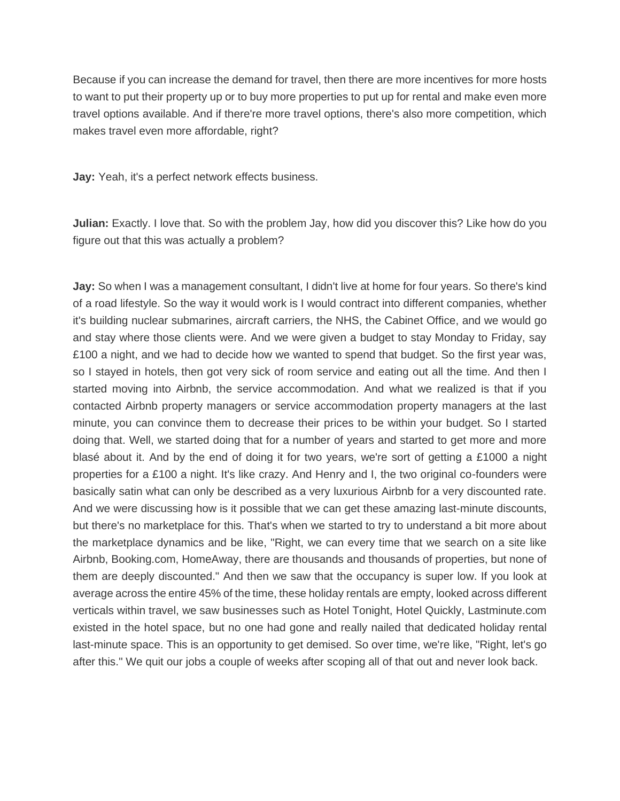Because if you can increase the demand for travel, then there are more incentives for more hosts to want to put their property up or to buy more properties to put up for rental and make even more travel options available. And if there're more travel options, there's also more competition, which makes travel even more affordable, right?

**Jay:** Yeah, it's a perfect network effects business.

**Julian:** Exactly. I love that. So with the problem Jay, how did you discover this? Like how do you figure out that this was actually a problem?

**Jay:** So when I was a management consultant, I didn't live at home for four years. So there's kind of a road lifestyle. So the way it would work is I would contract into different companies, whether it's building nuclear submarines, aircraft carriers, the NHS, the Cabinet Office, and we would go and stay where those clients were. And we were given a budget to stay Monday to Friday, say £100 a night, and we had to decide how we wanted to spend that budget. So the first year was, so I stayed in hotels, then got very sick of room service and eating out all the time. And then I started moving into Airbnb, the service accommodation. And what we realized is that if you contacted Airbnb property managers or service accommodation property managers at the last minute, you can convince them to decrease their prices to be within your budget. So I started doing that. Well, we started doing that for a number of years and started to get more and more blasé about it. And by the end of doing it for two years, we're sort of getting a £1000 a night properties for a £100 a night. It's like crazy. And Henry and I, the two original co-founders were basically satin what can only be described as a very luxurious Airbnb for a very discounted rate. And we were discussing how is it possible that we can get these amazing last-minute discounts, but there's no marketplace for this. That's when we started to try to understand a bit more about the marketplace dynamics and be like, "Right, we can every time that we search on a site like Airbnb, Booking.com, HomeAway, there are thousands and thousands of properties, but none of them are deeply discounted." And then we saw that the occupancy is super low. If you look at average across the entire 45% of the time, these holiday rentals are empty, looked across different verticals within travel, we saw businesses such as Hotel Tonight, Hotel Quickly, Lastminute.com existed in the hotel space, but no one had gone and really nailed that dedicated holiday rental last-minute space. This is an opportunity to get demised. So over time, we're like, "Right, let's go after this." We quit our jobs a couple of weeks after scoping all of that out and never look back.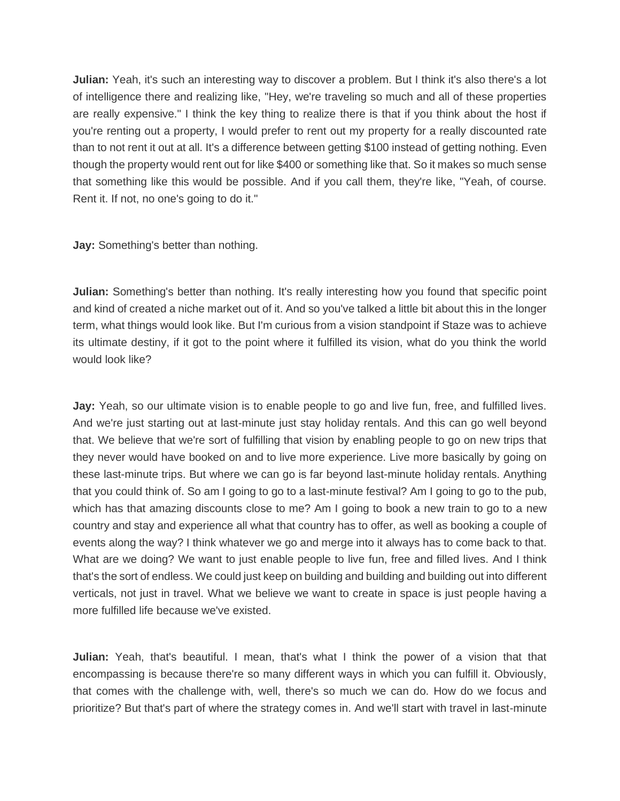**Julian:** Yeah, it's such an interesting way to discover a problem. But I think it's also there's a lot of intelligence there and realizing like, "Hey, we're traveling so much and all of these properties are really expensive." I think the key thing to realize there is that if you think about the host if you're renting out a property, I would prefer to rent out my property for a really discounted rate than to not rent it out at all. It's a difference between getting \$100 instead of getting nothing. Even though the property would rent out for like \$400 or something like that. So it makes so much sense that something like this would be possible. And if you call them, they're like, "Yeah, of course. Rent it. If not, no one's going to do it."

**Jay:** Something's better than nothing.

**Julian:** Something's better than nothing. It's really interesting how you found that specific point and kind of created a niche market out of it. And so you've talked a little bit about this in the longer term, what things would look like. But I'm curious from a vision standpoint if Staze was to achieve its ultimate destiny, if it got to the point where it fulfilled its vision, what do you think the world would look like?

**Jay:** Yeah, so our ultimate vision is to enable people to go and live fun, free, and fulfilled lives. And we're just starting out at last-minute just stay holiday rentals. And this can go well beyond that. We believe that we're sort of fulfilling that vision by enabling people to go on new trips that they never would have booked on and to live more experience. Live more basically by going on these last-minute trips. But where we can go is far beyond last-minute holiday rentals. Anything that you could think of. So am I going to go to a last-minute festival? Am I going to go to the pub, which has that amazing discounts close to me? Am I going to book a new train to go to a new country and stay and experience all what that country has to offer, as well as booking a couple of events along the way? I think whatever we go and merge into it always has to come back to that. What are we doing? We want to just enable people to live fun, free and filled lives. And I think that's the sort of endless. We could just keep on building and building and building out into different verticals, not just in travel. What we believe we want to create in space is just people having a more fulfilled life because we've existed.

**Julian:** Yeah, that's beautiful. I mean, that's what I think the power of a vision that that encompassing is because there're so many different ways in which you can fulfill it. Obviously, that comes with the challenge with, well, there's so much we can do. How do we focus and prioritize? But that's part of where the strategy comes in. And we'll start with travel in last-minute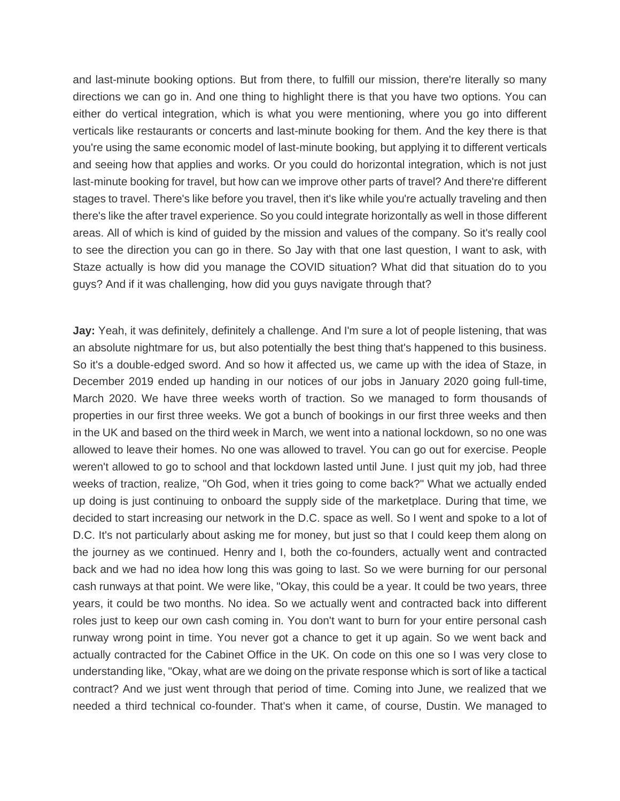and last-minute booking options. But from there, to fulfill our mission, there're literally so many directions we can go in. And one thing to highlight there is that you have two options. You can either do vertical integration, which is what you were mentioning, where you go into different verticals like restaurants or concerts and last-minute booking for them. And the key there is that you're using the same economic model of last-minute booking, but applying it to different verticals and seeing how that applies and works. Or you could do horizontal integration, which is not just last-minute booking for travel, but how can we improve other parts of travel? And there're different stages to travel. There's like before you travel, then it's like while you're actually traveling and then there's like the after travel experience. So you could integrate horizontally as well in those different areas. All of which is kind of guided by the mission and values of the company. So it's really cool to see the direction you can go in there. So Jay with that one last question, I want to ask, with Staze actually is how did you manage the COVID situation? What did that situation do to you guys? And if it was challenging, how did you guys navigate through that?

**Jay:** Yeah, it was definitely, definitely a challenge. And I'm sure a lot of people listening, that was an absolute nightmare for us, but also potentially the best thing that's happened to this business. So it's a double-edged sword. And so how it affected us, we came up with the idea of Staze, in December 2019 ended up handing in our notices of our jobs in January 2020 going full-time, March 2020. We have three weeks worth of traction. So we managed to form thousands of properties in our first three weeks. We got a bunch of bookings in our first three weeks and then in the UK and based on the third week in March, we went into a national lockdown, so no one was allowed to leave their homes. No one was allowed to travel. You can go out for exercise. People weren't allowed to go to school and that lockdown lasted until June. I just quit my job, had three weeks of traction, realize, "Oh God, when it tries going to come back?" What we actually ended up doing is just continuing to onboard the supply side of the marketplace. During that time, we decided to start increasing our network in the D.C. space as well. So I went and spoke to a lot of D.C. It's not particularly about asking me for money, but just so that I could keep them along on the journey as we continued. Henry and I, both the co-founders, actually went and contracted back and we had no idea how long this was going to last. So we were burning for our personal cash runways at that point. We were like, "Okay, this could be a year. It could be two years, three years, it could be two months. No idea. So we actually went and contracted back into different roles just to keep our own cash coming in. You don't want to burn for your entire personal cash runway wrong point in time. You never got a chance to get it up again. So we went back and actually contracted for the Cabinet Office in the UK. On code on this one so I was very close to understanding like, "Okay, what are we doing on the private response which is sort of like a tactical contract? And we just went through that period of time. Coming into June, we realized that we needed a third technical co-founder. That's when it came, of course, Dustin. We managed to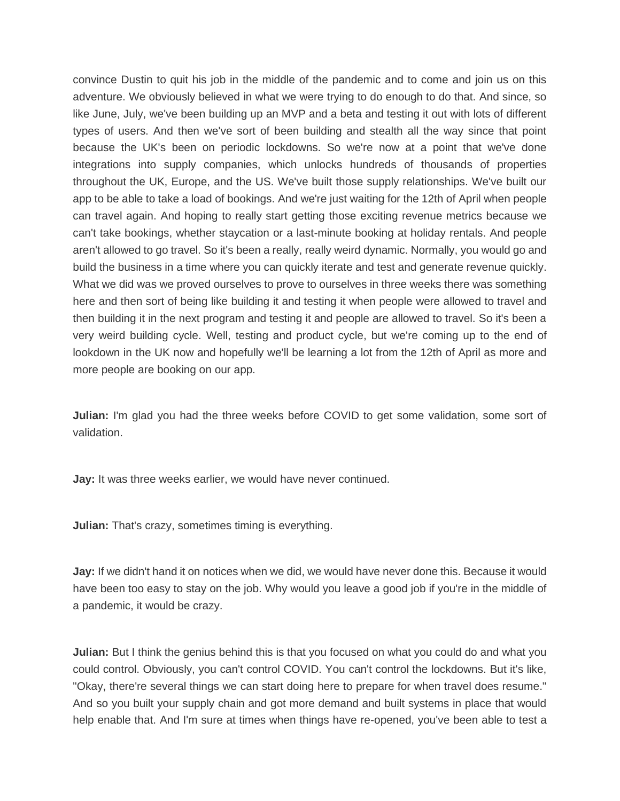convince Dustin to quit his job in the middle of the pandemic and to come and join us on this adventure. We obviously believed in what we were trying to do enough to do that. And since, so like June, July, we've been building up an MVP and a beta and testing it out with lots of different types of users. And then we've sort of been building and stealth all the way since that point because the UK's been on periodic lockdowns. So we're now at a point that we've done integrations into supply companies, which unlocks hundreds of thousands of properties throughout the UK, Europe, and the US. We've built those supply relationships. We've built our app to be able to take a load of bookings. And we're just waiting for the 12th of April when people can travel again. And hoping to really start getting those exciting revenue metrics because we can't take bookings, whether staycation or a last-minute booking at holiday rentals. And people aren't allowed to go travel. So it's been a really, really weird dynamic. Normally, you would go and build the business in a time where you can quickly iterate and test and generate revenue quickly. What we did was we proved ourselves to prove to ourselves in three weeks there was something here and then sort of being like building it and testing it when people were allowed to travel and then building it in the next program and testing it and people are allowed to travel. So it's been a very weird building cycle. Well, testing and product cycle, but we're coming up to the end of lookdown in the UK now and hopefully we'll be learning a lot from the 12th of April as more and more people are booking on our app.

**Julian:** I'm glad you had the three weeks before COVID to get some validation, some sort of validation.

**Jay:** It was three weeks earlier, we would have never continued.

**Julian:** That's crazy, sometimes timing is everything.

**Jay:** If we didn't hand it on notices when we did, we would have never done this. Because it would have been too easy to stay on the job. Why would you leave a good job if you're in the middle of a pandemic, it would be crazy.

**Julian:** But I think the genius behind this is that you focused on what you could do and what you could control. Obviously, you can't control COVID. You can't control the lockdowns. But it's like, "Okay, there're several things we can start doing here to prepare for when travel does resume." And so you built your supply chain and got more demand and built systems in place that would help enable that. And I'm sure at times when things have re-opened, you've been able to test a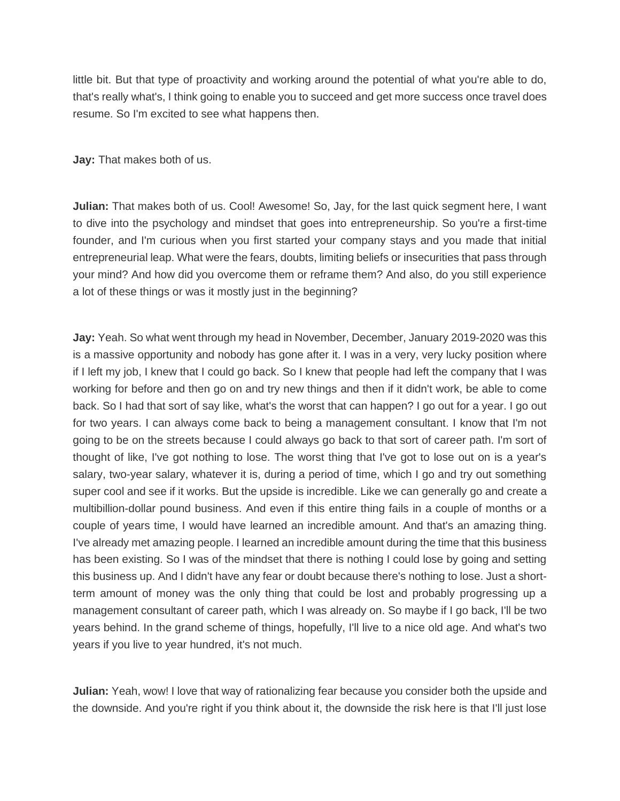little bit. But that type of proactivity and working around the potential of what you're able to do, that's really what's, I think going to enable you to succeed and get more success once travel does resume. So I'm excited to see what happens then.

**Jay:** That makes both of us.

**Julian:** That makes both of us. Cool! Awesome! So, Jay, for the last quick segment here, I want to dive into the psychology and mindset that goes into entrepreneurship. So you're a first-time founder, and I'm curious when you first started your company stays and you made that initial entrepreneurial leap. What were the fears, doubts, limiting beliefs or insecurities that pass through your mind? And how did you overcome them or reframe them? And also, do you still experience a lot of these things or was it mostly just in the beginning?

**Jay:** Yeah. So what went through my head in November, December, January 2019-2020 was this is a massive opportunity and nobody has gone after it. I was in a very, very lucky position where if I left my job, I knew that I could go back. So I knew that people had left the company that I was working for before and then go on and try new things and then if it didn't work, be able to come back. So I had that sort of say like, what's the worst that can happen? I go out for a year. I go out for two years. I can always come back to being a management consultant. I know that I'm not going to be on the streets because I could always go back to that sort of career path. I'm sort of thought of like, I've got nothing to lose. The worst thing that I've got to lose out on is a year's salary, two-year salary, whatever it is, during a period of time, which I go and try out something super cool and see if it works. But the upside is incredible. Like we can generally go and create a multibillion-dollar pound business. And even if this entire thing fails in a couple of months or a couple of years time, I would have learned an incredible amount. And that's an amazing thing. I've already met amazing people. I learned an incredible amount during the time that this business has been existing. So I was of the mindset that there is nothing I could lose by going and setting this business up. And I didn't have any fear or doubt because there's nothing to lose. Just a shortterm amount of money was the only thing that could be lost and probably progressing up a management consultant of career path, which I was already on. So maybe if I go back, I'll be two years behind. In the grand scheme of things, hopefully, I'll live to a nice old age. And what's two years if you live to year hundred, it's not much.

**Julian:** Yeah, wow! I love that way of rationalizing fear because you consider both the upside and the downside. And you're right if you think about it, the downside the risk here is that I'll just lose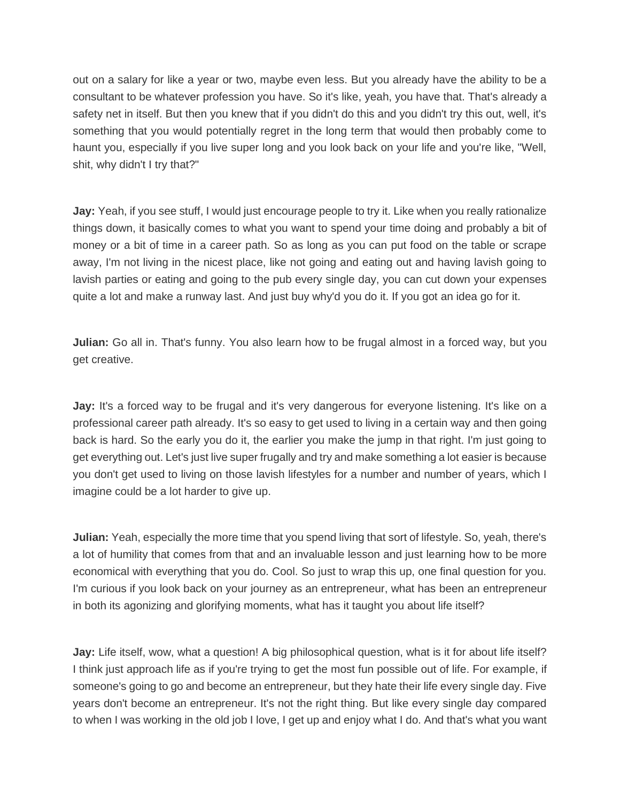out on a salary for like a year or two, maybe even less. But you already have the ability to be a consultant to be whatever profession you have. So it's like, yeah, you have that. That's already a safety net in itself. But then you knew that if you didn't do this and you didn't try this out, well, it's something that you would potentially regret in the long term that would then probably come to haunt you, especially if you live super long and you look back on your life and you're like, "Well, shit, why didn't I try that?"

Jay: Yeah, if you see stuff, I would just encourage people to try it. Like when you really rationalize things down, it basically comes to what you want to spend your time doing and probably a bit of money or a bit of time in a career path. So as long as you can put food on the table or scrape away, I'm not living in the nicest place, like not going and eating out and having lavish going to lavish parties or eating and going to the pub every single day, you can cut down your expenses quite a lot and make a runway last. And just buy why'd you do it. If you got an idea go for it.

**Julian:** Go all in. That's funny. You also learn how to be frugal almost in a forced way, but you get creative.

Jay: It's a forced way to be frugal and it's very dangerous for everyone listening. It's like on a professional career path already. It's so easy to get used to living in a certain way and then going back is hard. So the early you do it, the earlier you make the jump in that right. I'm just going to get everything out. Let's just live super frugally and try and make something a lot easier is because you don't get used to living on those lavish lifestyles for a number and number of years, which I imagine could be a lot harder to give up.

**Julian:** Yeah, especially the more time that you spend living that sort of lifestyle. So, yeah, there's a lot of humility that comes from that and an invaluable lesson and just learning how to be more economical with everything that you do. Cool. So just to wrap this up, one final question for you. I'm curious if you look back on your journey as an entrepreneur, what has been an entrepreneur in both its agonizing and glorifying moments, what has it taught you about life itself?

**Jay:** Life itself, wow, what a question! A big philosophical question, what is it for about life itself? I think just approach life as if you're trying to get the most fun possible out of life. For example, if someone's going to go and become an entrepreneur, but they hate their life every single day. Five years don't become an entrepreneur. It's not the right thing. But like every single day compared to when I was working in the old job I love, I get up and enjoy what I do. And that's what you want